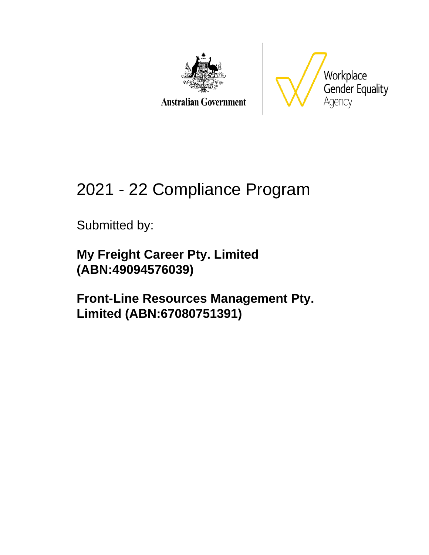

**Australian Government** 



# 2021 - 22 Compliance Program

Submitted by:

**My Freight Career Pty. Limited (ABN:49094576039)**

**Front-Line Resources Management Pty. Limited (ABN:67080751391)**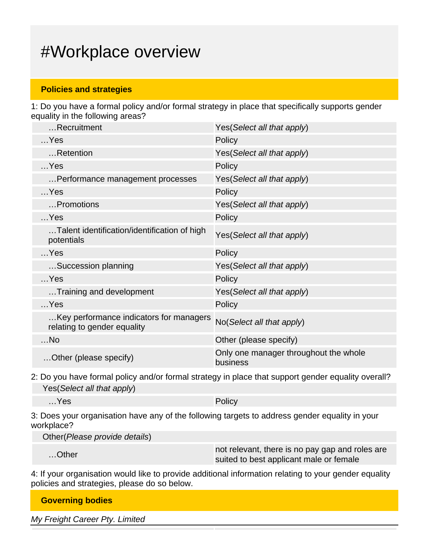## #Workplace overview

### **Policies and strategies**

1: Do you have a formal policy and/or formal strategy in place that specifically supports gender equality in the following areas?

| Recruitment                                                            | Yes(Select all that apply)                        |
|------------------------------------------------------------------------|---------------------------------------------------|
| $$ Yes                                                                 | Policy                                            |
| Retention                                                              | Yes(Select all that apply)                        |
| $$ Yes                                                                 | Policy                                            |
| Performance management processes                                       | Yes(Select all that apply)                        |
| $$ Yes                                                                 | Policy                                            |
| Promotions                                                             | Yes(Select all that apply)                        |
| $$ Yes                                                                 | Policy                                            |
| Talent identification/identification of high<br>potentials             | Yes(Select all that apply)                        |
| $$ Yes                                                                 | Policy                                            |
| Succession planning                                                    | Yes(Select all that apply)                        |
| $$ Yes                                                                 | Policy                                            |
| Training and development                                               | Yes(Select all that apply)                        |
| $$ Yes                                                                 | Policy                                            |
| Key performance indicators for managers<br>relating to gender equality | No(Select all that apply)                         |
| $$ No                                                                  | Other (please specify)                            |
| Other (please specify)                                                 | Only one manager throughout the whole<br>business |

2: Do you have formal policy and/or formal strategy in place that support gender equality overall? Yes(Select all that apply)

| $$ Yes | i Daliace<br>$\sim$ OIICV |
|--------|---------------------------|
|        |                           |

3: Does your organisation have any of the following targets to address gender equality in your workplace?

Other(Please provide details)

| ∴.Other | not relevant, there is no pay gap and roles are<br>suited to best applicant male or female |
|---------|--------------------------------------------------------------------------------------------|
|         |                                                                                            |

4: If your organisation would like to provide additional information relating to your gender equality policies and strategies, please do so below.

| <b>Governing bodies</b>        |  |  |
|--------------------------------|--|--|
| My Freight Career Pty. Limited |  |  |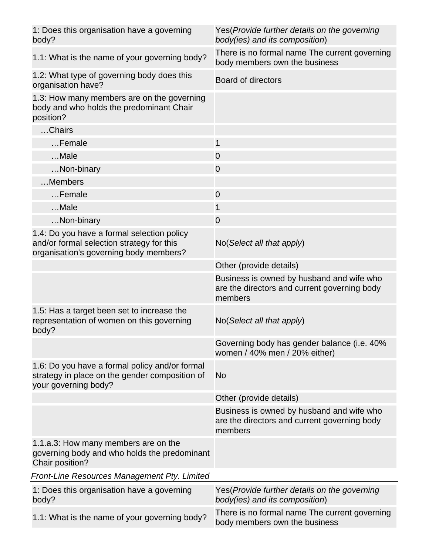| 1: Does this organisation have a governing<br>body?                                                                               | Yes (Provide further details on the governing<br>body(ies) and its composition)                      |
|-----------------------------------------------------------------------------------------------------------------------------------|------------------------------------------------------------------------------------------------------|
| 1.1: What is the name of your governing body?                                                                                     | There is no formal name The current governing<br>body members own the business                       |
| 1.2: What type of governing body does this<br>organisation have?                                                                  | Board of directors                                                                                   |
| 1.3: How many members are on the governing<br>body and who holds the predominant Chair<br>position?                               |                                                                                                      |
| Chairs                                                                                                                            |                                                                                                      |
| Female                                                                                                                            | 1                                                                                                    |
| $$ Male                                                                                                                           | $\overline{0}$                                                                                       |
| Non-binary                                                                                                                        | $\overline{0}$                                                                                       |
| Members                                                                                                                           |                                                                                                      |
| Female                                                                                                                            | $\overline{0}$                                                                                       |
| Male                                                                                                                              | 1                                                                                                    |
| Non-binary                                                                                                                        | $\overline{0}$                                                                                       |
| 1.4: Do you have a formal selection policy<br>and/or formal selection strategy for this<br>organisation's governing body members? | No(Select all that apply)                                                                            |
|                                                                                                                                   | Other (provide details)                                                                              |
|                                                                                                                                   | Business is owned by husband and wife who<br>are the directors and current governing body<br>members |
| 1.5: Has a target been set to increase the<br>representation of women on this governing<br>body?                                  | No(Select all that apply)                                                                            |
|                                                                                                                                   | Governing body has gender balance (i.e. 40%<br>women / 40% men / 20% either)                         |
| 1.6: Do you have a formal policy and/or formal<br>strategy in place on the gender composition of<br>your governing body?          | <b>No</b>                                                                                            |
|                                                                                                                                   | Other (provide details)                                                                              |
|                                                                                                                                   | Business is owned by husband and wife who<br>are the directors and current governing body<br>members |
| 1.1.a.3: How many members are on the<br>governing body and who holds the predominant<br>Chair position?                           |                                                                                                      |
| Front-Line Resources Management Pty. Limited                                                                                      |                                                                                                      |
| 1: Does this organisation have a governing<br>body?                                                                               | Yes (Provide further details on the governing<br>body(ies) and its composition)                      |
| 1.1: What is the name of your governing body?                                                                                     | There is no formal name The current governing<br>body members own the business                       |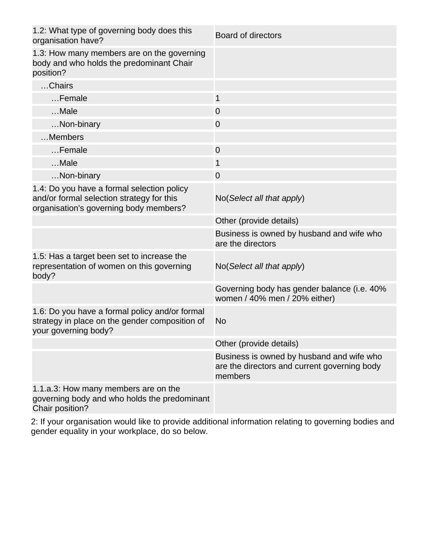| 1.2: What type of governing body does this<br>organisation have?                                                                  | <b>Board of directors</b>                                                                            |
|-----------------------------------------------------------------------------------------------------------------------------------|------------------------------------------------------------------------------------------------------|
| 1.3: How many members are on the governing<br>body and who holds the predominant Chair<br>position?                               |                                                                                                      |
| Chairs                                                                                                                            |                                                                                                      |
| Female                                                                                                                            | 1                                                                                                    |
| Male                                                                                                                              | $\overline{0}$                                                                                       |
| Non-binary                                                                                                                        | $\overline{0}$                                                                                       |
| Members                                                                                                                           |                                                                                                      |
| Female                                                                                                                            | $\overline{0}$                                                                                       |
| $$ Male                                                                                                                           | 1                                                                                                    |
| Non-binary                                                                                                                        | $\overline{0}$                                                                                       |
| 1.4: Do you have a formal selection policy<br>and/or formal selection strategy for this<br>organisation's governing body members? | No(Select all that apply)                                                                            |
|                                                                                                                                   | Other (provide details)                                                                              |
|                                                                                                                                   | Business is owned by husband and wife who<br>are the directors                                       |
| 1.5: Has a target been set to increase the<br>representation of women on this governing<br>body?                                  | No (Select all that apply)                                                                           |
|                                                                                                                                   | Governing body has gender balance (i.e. 40%<br>women / 40% men / 20% either)                         |
| 1.6: Do you have a formal policy and/or formal<br>strategy in place on the gender composition of<br>your governing body?          | <b>No</b>                                                                                            |
|                                                                                                                                   | Other (provide details)                                                                              |
|                                                                                                                                   | Business is owned by husband and wife who<br>are the directors and current governing body<br>members |
| 1.1.a.3: How many members are on the<br>governing body and who holds the predominant<br>Chair position?                           |                                                                                                      |

2: If your organisation would like to provide additional information relating to governing bodies and gender equality in your workplace, do so below.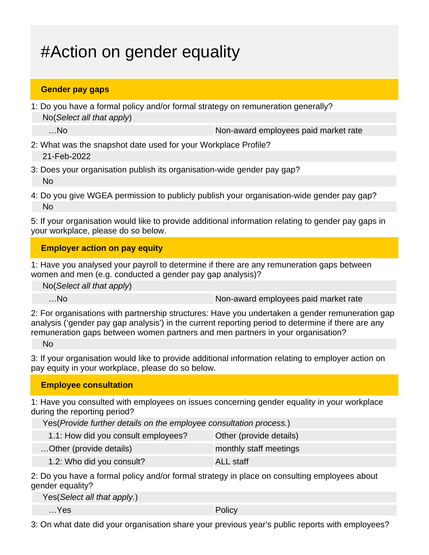## #Action on gender equality

### **Gender pay gaps**

1: Do you have a formal policy and/or formal strategy on remuneration generally? No(Select all that apply)

...No and the non-award employees paid market rate

- 2: What was the snapshot date used for your Workplace Profile? 21-Feb-2022
- 3: Does your organisation publish its organisation-wide gender pay gap? No
- 4: Do you give WGEA permission to publicly publish your organisation-wide gender pay gap? No

5: If your organisation would like to provide additional information relating to gender pay gaps in your workplace, please do so below.

### **Employer action on pay equity**

1: Have you analysed your payroll to determine if there are any remuneration gaps between women and men (e.g. conducted a gender pay gap analysis)?

No(Select all that apply)

…No non-award employees paid market rate

2: For organisations with partnership structures: Have you undertaken a gender remuneration gap analysis ('gender pay gap analysis') in the current reporting period to determine if there are any remuneration gaps between women partners and men partners in your organisation?

No

3: If your organisation would like to provide additional information relating to employer action on pay equity in your workplace, please do so below.

**Employee consultation**

1: Have you consulted with employees on issues concerning gender equality in your workplace during the reporting period?

Yes(Provide further details on the employee consultation process.)

| 1.1: How did you consult employees? | Other (provide details) |
|-------------------------------------|-------------------------|
| Other (provide details)             | monthly staff meetings  |
| 1.2: Who did you consult?           | <b>ALL</b> staff        |

2: Do you have a formal policy and/or formal strategy in place on consulting employees about gender equality?

| Yes(Select all that apply.) |  |
|-----------------------------|--|
|-----------------------------|--|

…Yes Policy

3: On what date did your organisation share your previous year's public reports with employees?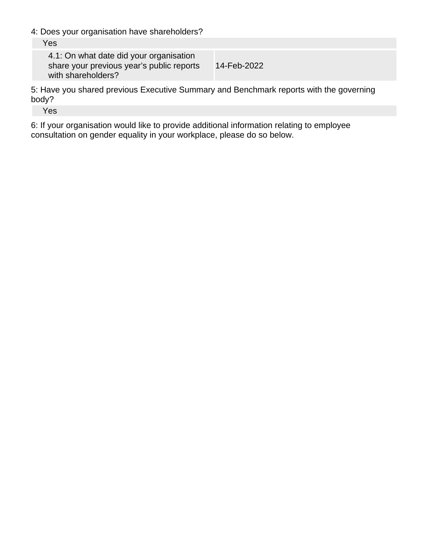4: Does your organisation have shareholders?

4.1: On what date did your organisation share your previous year's public reports with shareholders? 14-Feb-2022

5: Have you shared previous Executive Summary and Benchmark reports with the governing body?

Yes

6: If your organisation would like to provide additional information relating to employee consultation on gender equality in your workplace, please do so below.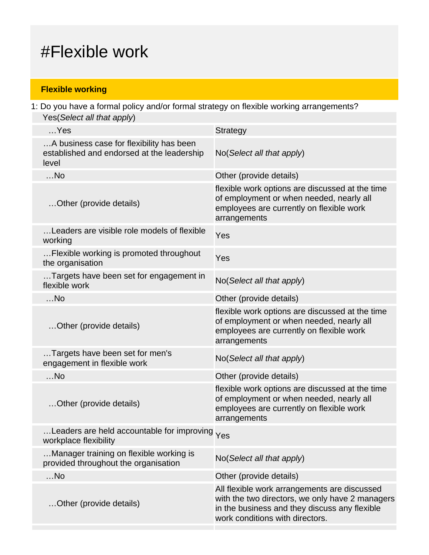## #Flexible work

## **Flexible working**

1: Do you have a formal policy and/or formal strategy on flexible working arrangements? Yes(Select all that apply)

| $$ Yes                                                                                          | <b>Strategy</b>                                                                                                                                                                     |
|-------------------------------------------------------------------------------------------------|-------------------------------------------------------------------------------------------------------------------------------------------------------------------------------------|
| A business case for flexibility has been<br>established and endorsed at the leadership<br>level | No(Select all that apply)                                                                                                                                                           |
| $$ No                                                                                           | Other (provide details)                                                                                                                                                             |
| Other (provide details)                                                                         | flexible work options are discussed at the time<br>of employment or when needed, nearly all<br>employees are currently on flexible work<br>arrangements                             |
| Leaders are visible role models of flexible<br>working                                          | Yes                                                                                                                                                                                 |
| Flexible working is promoted throughout<br>the organisation                                     | Yes                                                                                                                                                                                 |
| Targets have been set for engagement in<br>flexible work                                        | No(Select all that apply)                                                                                                                                                           |
| $$ No                                                                                           | Other (provide details)                                                                                                                                                             |
| Other (provide details)                                                                         | flexible work options are discussed at the time<br>of employment or when needed, nearly all<br>employees are currently on flexible work<br>arrangements                             |
| Targets have been set for men's<br>engagement in flexible work                                  | No(Select all that apply)                                                                                                                                                           |
| $$ No                                                                                           | Other (provide details)                                                                                                                                                             |
| Other (provide details)                                                                         | flexible work options are discussed at the time<br>of employment or when needed, nearly all<br>employees are currently on flexible work<br>arrangements                             |
| Leaders are held accountable for improving Yes<br>workplace flexibility                         |                                                                                                                                                                                     |
| Manager training on flexible working is<br>provided throughout the organisation                 | No(Select all that apply)                                                                                                                                                           |
| $$ No                                                                                           | Other (provide details)                                                                                                                                                             |
| Other (provide details)                                                                         | All flexible work arrangements are discussed<br>with the two directors, we only have 2 managers<br>in the business and they discuss any flexible<br>work conditions with directors. |
|                                                                                                 |                                                                                                                                                                                     |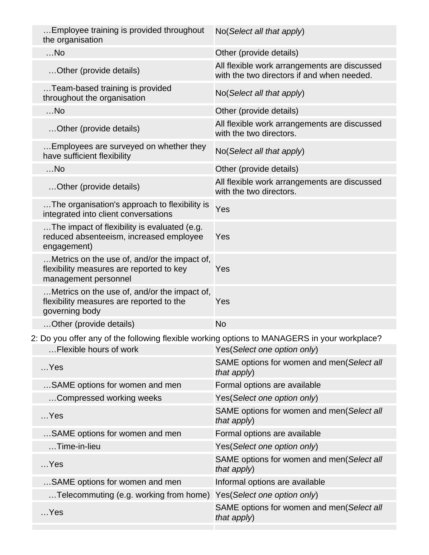| Employee training is provided throughout<br>the organisation                                                     | No(Select all that apply)                                                                  |
|------------------------------------------------------------------------------------------------------------------|--------------------------------------------------------------------------------------------|
| $$ No                                                                                                            | Other (provide details)                                                                    |
| Other (provide details)                                                                                          | All flexible work arrangements are discussed<br>with the two directors if and when needed. |
| Team-based training is provided<br>throughout the organisation                                                   | No(Select all that apply)                                                                  |
| $$ No                                                                                                            | Other (provide details)                                                                    |
| Other (provide details)                                                                                          | All flexible work arrangements are discussed<br>with the two directors.                    |
| Employees are surveyed on whether they<br>have sufficient flexibility                                            | No(Select all that apply)                                                                  |
| $$ No                                                                                                            | Other (provide details)                                                                    |
| Other (provide details)                                                                                          | All flexible work arrangements are discussed<br>with the two directors.                    |
| The organisation's approach to flexibility is<br>integrated into client conversations                            | Yes                                                                                        |
| The impact of flexibility is evaluated (e.g.<br>reduced absenteeism, increased employee<br>engagement)           | Yes                                                                                        |
| Metrics on the use of, and/or the impact of,<br>flexibility measures are reported to key<br>management personnel | Yes                                                                                        |
| Metrics on the use of, and/or the impact of,<br>flexibility measures are reported to the<br>governing body       | Yes                                                                                        |
| Other (provide details)                                                                                          | <b>No</b>                                                                                  |
| 2: Do you offer any of the following flexible working options to MANAGERS in your workplace?                     |                                                                                            |
| Flexible hours of work                                                                                           | Yes(Select one option only)                                                                |
| $$ Yes                                                                                                           | SAME options for women and men(Select all<br>that $apply$ )                                |
| SAME options for women and men                                                                                   | Formal options are available                                                               |
| Compressed working weeks                                                                                         | Yes(Select one option only)                                                                |
| $$ Yes                                                                                                           | SAME options for women and men(Select all<br>that apply)                                   |
| SAME options for women and men                                                                                   | Formal options are available                                                               |
| Time-in-lieu                                                                                                     | Yes(Select one option only)                                                                |
| $$ Yes                                                                                                           | SAME options for women and men(Select all<br>that apply)                                   |
| SAME options for women and men                                                                                   | Informal options are available                                                             |
|                                                                                                                  |                                                                                            |
| Telecommuting (e.g. working from home)                                                                           | Yes(Select one option only)                                                                |
| $$ Yes                                                                                                           | SAME options for women and men(Select all<br>that apply)                                   |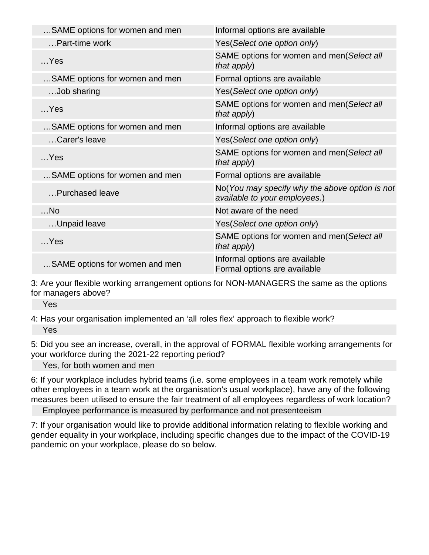| SAME options for women and men | Informal options are available                                                  |
|--------------------------------|---------------------------------------------------------------------------------|
| Part-time work                 | Yes(Select one option only)                                                     |
| $$ Yes                         | SAME options for women and men(Select all<br>that apply)                        |
| SAME options for women and men | Formal options are available                                                    |
| Job sharing                    | Yes(Select one option only)                                                     |
| $$ Yes                         | SAME options for women and men(Select all<br>that apply)                        |
| SAME options for women and men | Informal options are available                                                  |
| Carer's leave                  | Yes(Select one option only)                                                     |
| $$ Yes                         | SAME options for women and men(Select all<br>that apply)                        |
| SAME options for women and men | Formal options are available                                                    |
| Purchased leave                | No(You may specify why the above option is not<br>available to your employees.) |
| $$ No                          | Not aware of the need                                                           |
| Unpaid leave                   | Yes(Select one option only)                                                     |
| $$ Yes                         | SAME options for women and men(Select all<br>that apply)                        |
| SAME options for women and men | Informal options are available<br>Formal options are available                  |
|                                |                                                                                 |

3: Are your flexible working arrangement options for NON-MANAGERS the same as the options for managers above?

Yes

4: Has your organisation implemented an 'all roles flex' approach to flexible work? Yes

5: Did you see an increase, overall, in the approval of FORMAL flexible working arrangements for your workforce during the 2021-22 reporting period?

Yes, for both women and men

6: If your workplace includes hybrid teams (i.e. some employees in a team work remotely while other employees in a team work at the organisation's usual workplace), have any of the following measures been utilised to ensure the fair treatment of all employees regardless of work location?

Employee performance is measured by performance and not presenteeism

7: If your organisation would like to provide additional information relating to flexible working and gender equality in your workplace, including specific changes due to the impact of the COVID-19 pandemic on your workplace, please do so below.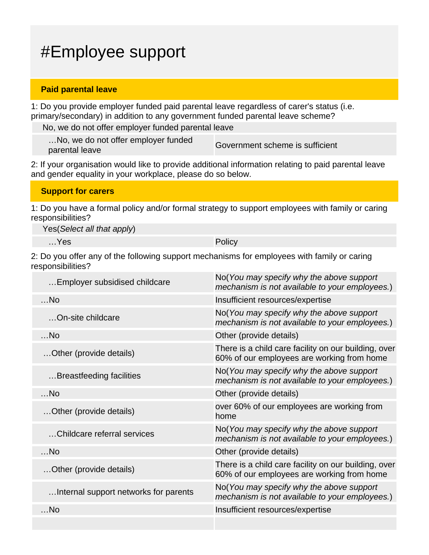## #Employee support

### **Paid parental leave**

1: Do you provide employer funded paid parental leave regardless of carer's status (i.e. primary/secondary) in addition to any government funded parental leave scheme?

No, we do not offer employer funded parental leave

…No, we do not offer employer funded mo, we do not oner employer runded<br>
Government scheme is sufficient<br>
parental leave

2: If your organisation would like to provide additional information relating to paid parental leave and gender equality in your workplace, please do so below.

| <b>Support for carers</b> |
|---------------------------|
|---------------------------|

1: Do you have a formal policy and/or formal strategy to support employees with family or caring responsibilities?

Yes(Select all that apply)

…Yes Policy

2: Do you offer any of the following support mechanisms for employees with family or caring responsibilities?

| Employer subsidised childcare         | No(You may specify why the above support<br>mechanism is not available to your employees.)         |
|---------------------------------------|----------------------------------------------------------------------------------------------------|
| $$ No                                 | Insufficient resources/expertise                                                                   |
| On-site childcare                     | No(You may specify why the above support<br>mechanism is not available to your employees.)         |
| $$ No                                 | Other (provide details)                                                                            |
| Other (provide details)               | There is a child care facility on our building, over<br>60% of our employees are working from home |
| Breastfeeding facilities              | No(You may specify why the above support<br>mechanism is not available to your employees.)         |
| $$ No                                 | Other (provide details)                                                                            |
| Other (provide details)               | over 60% of our employees are working from<br>home                                                 |
| Childcare referral services           | No(You may specify why the above support<br>mechanism is not available to your employees.)         |
| $$ No                                 | Other (provide details)                                                                            |
| Other (provide details)               | There is a child care facility on our building, over<br>60% of our employees are working from home |
| Internal support networks for parents | No(You may specify why the above support<br>mechanism is not available to your employees.)         |
| $$ No                                 | Insufficient resources/expertise                                                                   |
|                                       |                                                                                                    |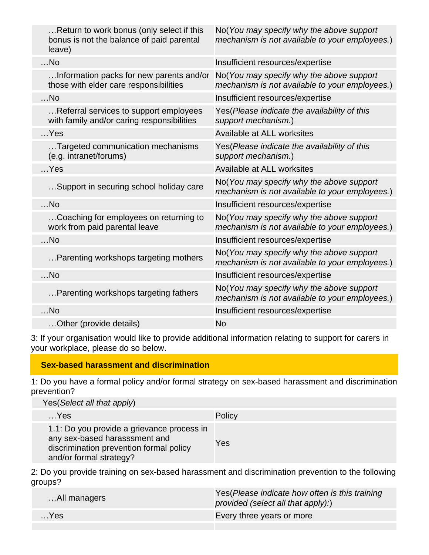| Return to work bonus (only select if this<br>bonus is not the balance of paid parental<br>leave) | No(You may specify why the above support<br>mechanism is not available to your employees.) |
|--------------------------------------------------------------------------------------------------|--------------------------------------------------------------------------------------------|
| $$ No                                                                                            | Insufficient resources/expertise                                                           |
| Information packs for new parents and/or<br>those with elder care responsibilities               | No(You may specify why the above support<br>mechanism is not available to your employees.) |
| $$ No                                                                                            | Insufficient resources/expertise                                                           |
| Referral services to support employees<br>with family and/or caring responsibilities             | Yes(Please indicate the availability of this<br>support mechanism.)                        |
| $$ Yes                                                                                           | Available at ALL worksites                                                                 |
| Targeted communication mechanisms<br>(e.g. intranet/forums)                                      | Yes(Please indicate the availability of this<br>support mechanism.)                        |
| $$ Yes                                                                                           | Available at ALL worksites                                                                 |
| Support in securing school holiday care                                                          | No(You may specify why the above support<br>mechanism is not available to your employees.) |
| $$ No                                                                                            | Insufficient resources/expertise                                                           |
| Coaching for employees on returning to<br>work from paid parental leave                          | No(You may specify why the above support<br>mechanism is not available to your employees.) |
| $$ No                                                                                            | Insufficient resources/expertise                                                           |
| Parenting workshops targeting mothers                                                            | No(You may specify why the above support<br>mechanism is not available to your employees.) |
| $$ No                                                                                            | Insufficient resources/expertise                                                           |
| Parenting workshops targeting fathers                                                            | No(You may specify why the above support<br>mechanism is not available to your employees.) |
| $$ No                                                                                            | Insufficient resources/expertise                                                           |
| Other (provide details)                                                                          | <b>No</b>                                                                                  |

3: If your organisation would like to provide additional information relating to support for carers in your workplace, please do so below.

## **Sex-based harassment and discrimination**

1: Do you have a formal policy and/or formal strategy on sex-based harassment and discrimination prevention?

| Yes(Select all that apply)                                                                                                                        |        |
|---------------------------------------------------------------------------------------------------------------------------------------------------|--------|
| $$ Yes                                                                                                                                            | Policy |
| 1.1: Do you provide a grievance process in<br>any sex-based harasssment and<br>discrimination prevention formal policy<br>and/or formal strategy? | Yes    |

2: Do you provide training on sex-based harassment and discrimination prevention to the following groups?

| All managers | Yes (Please indicate how often is this training<br>provided (select all that apply):) |
|--------------|---------------------------------------------------------------------------------------|
| $$ Yes       | Every three years or more                                                             |
|              |                                                                                       |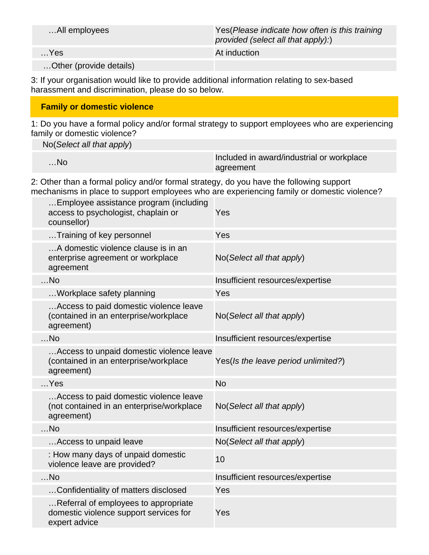| All employees           | Yes (Please indicate how often is this training<br>provided (select all that apply):) |
|-------------------------|---------------------------------------------------------------------------------------|
| $$ Yes                  | At induction                                                                          |
| Other (provide details) |                                                                                       |

3: If your organisation would like to provide additional information relating to sex-based harassment and discrimination, please do so below.

### **Family or domestic violence**

1: Do you have a formal policy and/or formal strategy to support employees who are experiencing family or domestic violence?

No(Select all that apply)

| $$ No | Included in award/industrial or workplace |
|-------|-------------------------------------------|
|       | agreement                                 |

2: Other than a formal policy and/or formal strategy, do you have the following support mechanisms in place to support employees who are experiencing family or domestic violence?

| Yes                                      |
|------------------------------------------|
| Yes                                      |
| No(Select all that apply)                |
| Insufficient resources/expertise         |
| Yes                                      |
| No(Select all that apply)                |
| Insufficient resources/expertise         |
| Yes(Is the leave period unlimited?)      |
| <b>No</b>                                |
| No (Select all that apply)               |
| Insufficient resources/expertise         |
| No(Select all that apply)                |
| 10                                       |
| Insufficient resources/expertise         |
| Yes                                      |
| Yes                                      |
| Access to unpaid domestic violence leave |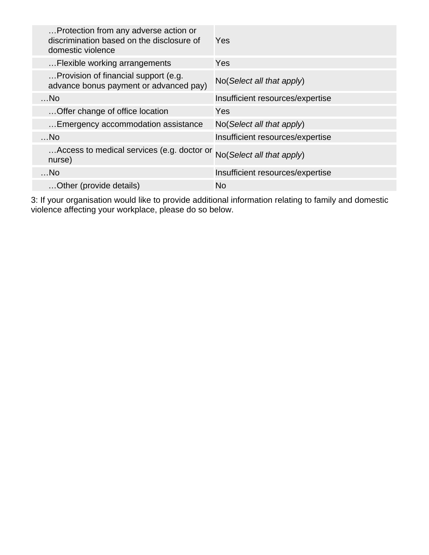| Protection from any adverse action or<br>discrimination based on the disclosure of<br>domestic violence | Yes                                  |
|---------------------------------------------------------------------------------------------------------|--------------------------------------|
| Flexible working arrangements                                                                           | Yes                                  |
| Provision of financial support (e.g.<br>advance bonus payment or advanced pay)                          | $No(Select \textit{all} that apply)$ |
| $$ No                                                                                                   | Insufficient resources/expertise     |
| Offer change of office location                                                                         | Yes                                  |
| Emergency accommodation assistance                                                                      | $No(Select \textit{all} that apply)$ |
| $$ No                                                                                                   | Insufficient resources/expertise     |
| Access to medical services (e.g. doctor or<br>nurse)                                                    | No(Select all that apply)            |
| $$ No                                                                                                   | Insufficient resources/expertise     |
| Other (provide details)                                                                                 | <b>No</b>                            |

3: If your organisation would like to provide additional information relating to family and domestic violence affecting your workplace, please do so below.